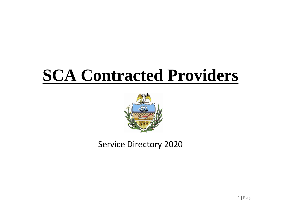# **SCA Contracted Providers**



Service Directory 2020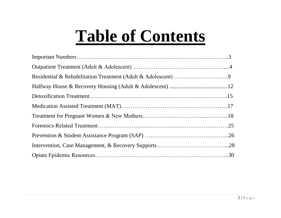# **Table of Contents**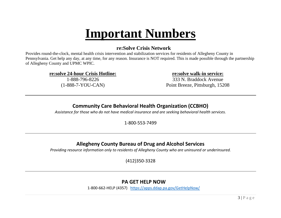### **Important Numbers**

#### **re:Solve Crisis Network**

Provides round-the-clock, mental health crisis intervention and stabilization services for residents of Allegheny County in Pennsylvania. Get help any day, at any time, for any reason. Insurance is NOT required. This is made possible through the partnership of Allegheny County and UPMC WPIC.

**re:solve 24-hour Crisis Hotline:**

1-888-796-8226 (1-888-7-YOU-CAN) **re:solve walk-in service:**

333 N. Braddock Avenue Point Breeze, Pittsburgh, 15208

#### **Community Care Behavioral Health Organization (CCBHO)**

*Assistance for those who do not have medical insurance and are seeking behavioral health services.*

1-800-553-7499

#### **Allegheny County Bureau of Drug and Alcohol Services**

*Providing resource information only to residents of Allegheny County who are uninsured or underinsured.*

(412)350-3328

#### **PA GET HELP NOW**

1-800-662-HELP (4357) <https://apps.ddap.pa.gov/GetHelpNow/>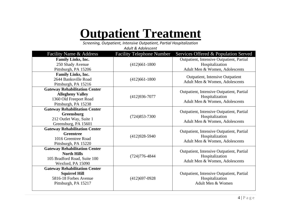## **Outpatient Treatment**

*Screening, Outpatient, Intensive Outpatient, Partial Hospitalization*

*Adult & Adolescent*

| Facility Name & Address              | <b>Facility Telephone Number</b> | Services Offered & Population Served      |
|--------------------------------------|----------------------------------|-------------------------------------------|
| <b>Family Links, Inc.</b>            |                                  | Outpatient, Intensive Outpatient, Partial |
| 250 Shady Avenue                     | $(412)661-1800$                  | Hospitalization                           |
| Pittsburgh, PA 15206                 |                                  | Adult Men & Women, Adolescents            |
| <b>Family Links, Inc.</b>            |                                  | <b>Outpatient, Intensive Outpatient</b>   |
| 2644 Banksville Road                 | $(412)661-1800$                  | Adult Men & Women, Adolescents            |
| Pittsburgh, PA 15216                 |                                  |                                           |
| <b>Gateway Rehabilitation Center</b> |                                  | Outpatient, Intensive Outpatient, Partial |
| <b>Allegheny Valley</b>              | $(412)936 - 7077$                | Hospitalization                           |
| 1360 Old Freeport Road               |                                  | Adult Men & Women, Adolescents            |
| Pittsburgh, PA 15238                 |                                  |                                           |
| <b>Gateway Rehabilitation Center</b> |                                  | Outpatient, Intensive Outpatient, Partial |
| Greensburg                           | $(724)853 - 7300$                | Hospitalization                           |
| 212 Outlet Way, Suite 1              |                                  | Adult Men & Women, Adolescents            |
| Greensburg, PA 15601                 |                                  |                                           |
| <b>Gateway Rehabilitation Center</b> |                                  | Outpatient, Intensive Outpatient, Partial |
| <b>Greentree</b>                     | $(412)928-5940$                  | Hospitalization                           |
| 1016 Greentree Road                  |                                  | Adult Men & Women, Adolescents            |
| Pittsburgh, PA 15220                 |                                  |                                           |
| <b>Gateway Rehabilitation Center</b> |                                  | Outpatient, Intensive Outpatient, Partial |
| <b>North Hills</b>                   | $(724)776 - 4844$                | Hospitalization                           |
| 105 Bradford Road, Suite 100         |                                  | Adult Men & Women, Adolescents            |
| Wexford, PA 15090                    |                                  |                                           |
| <b>Gateway Rehabilitation Center</b> |                                  |                                           |
| <b>Squirrel Hill</b>                 |                                  | Outpatient, Intensive Outpatient, Partial |
| 5816-18 Forbes Avenue                | $(412)697 - 0928$                | Hospitalization                           |
| Pittsburgh, PA 15217                 |                                  | Adult Men & Women                         |
|                                      |                                  |                                           |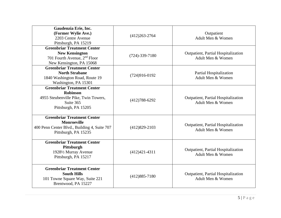| Gaudenzia Erie, Inc.<br>(Former Wylie Ave.)<br>2203 Centre Avenue<br>Pittsburgh, PA 15219 | $(412)263 - 2764$    | Outpatient<br>Adult Men & Women                          |
|-------------------------------------------------------------------------------------------|----------------------|----------------------------------------------------------|
| <b>Greenbriar Treatment Center</b><br><b>New Kensington</b>                               | $(724) - 339 - 7180$ | Outpatient, Partial Hospitalization                      |
| 701 Fourth Avenue, 2 <sup>nd</sup> Floor<br>New Kensington, PA 15068                      |                      | Adult Men & Women                                        |
| <b>Greenbriar Treatment Center</b>                                                        |                      |                                                          |
| <b>North Strabane</b>                                                                     | $(724)916-0192$      | Partial Hospitalization<br>Adult Men & Women             |
| 1840 Washington Road, Route 19<br>Washington, PA 15301                                    |                      |                                                          |
| <b>Greenbriar Treatment Center</b>                                                        |                      |                                                          |
| <b>Robinson</b><br>4955 Steubenville Pike, Twin Towers,                                   |                      | Outpatient, Partial Hospitalization                      |
| Suite 365                                                                                 | $(412)788 - 6292$    | Adult Men & Women                                        |
| Pittsburgh, PA 15205                                                                      |                      |                                                          |
| <b>Greenbriar Treatment Center</b>                                                        |                      |                                                          |
| <b>Monroeville</b><br>400 Penn Center Blvd., Building 4, Suite 707                        | $(412)829 - 2103$    | Outpatient, Partial Hospitalization                      |
| Pittsburgh, PA 15235                                                                      |                      | Adult Men & Women                                        |
| <b>Greenbriar Treatment Center</b>                                                        |                      |                                                          |
| Pittsburgh                                                                                |                      |                                                          |
| 19281/2 Murray Avenue                                                                     | $(412)421-4311$      | Outpatient, Partial Hospitalization<br>Adult Men & Women |
| Pittsburgh, PA 15217                                                                      |                      |                                                          |
| <b>Greenbriar Treatment Center</b>                                                        |                      |                                                          |
| <b>South Hills</b><br>101 Towne Square Way, Suite 221                                     | $(412)885 - 7180$    | Outpatient, Partial Hospitalization<br>Adult Men & Women |
| Brentwood, PA 15227                                                                       |                      |                                                          |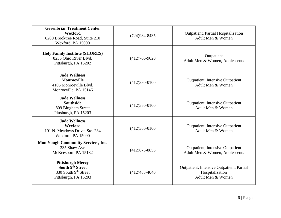| <b>Greenbriar Treatment Center</b><br>Wexford<br>6200 Brooktree Road, Suite 210<br>Wexford, PA 15090 | $(724)934 - 8435$ | Outpatient, Partial Hospitalization<br>Adult Men & Women                          |
|------------------------------------------------------------------------------------------------------|-------------------|-----------------------------------------------------------------------------------|
| <b>Holy Family Institute (SHORES)</b><br>8235 Ohio River Blvd.<br>Pittsburgh, PA 15202               | $(412)766-9020$   | Outpatient<br>Adult Men & Women, Adolescents                                      |
| <b>Jade Wellness</b><br><b>Monroeville</b><br>4105 Monroeville Blvd.<br>Monroeville, PA 15146        | $(412)380-0100$   | <b>Outpatient, Intensive Outpatient</b><br>Adult Men & Women                      |
| <b>Jade Wellness</b><br><b>Southside</b><br>809 Bingham Street<br>Pittsburgh, PA 15203               | $(412)380-0100$   | <b>Outpatient, Intensive Outpatient</b><br>Adult Men & Women                      |
| <b>Jade Wellness</b><br>Wexford<br>101 N. Meadows Drive, Ste. 234<br>Wexford, PA 15090               | $(412)380-0100$   | <b>Outpatient, Intensive Outpatient</b><br>Adult Men & Women                      |
| <b>Mon Yough Community Services, Inc.</b><br>335 Shaw Ave<br>McKeesport, PA 15132                    | $(412)675 - 8855$ | <b>Outpatient, Intensive Outpatient</b><br>Adult Men & Women, Adolescents         |
| <b>Pittsburgh Mercy</b><br>South 9th Street<br>330 South 9th Street<br>Pittsburgh, PA 15203          | $(412)488-4040$   | Outpatient, Intensive Outpatient, Partial<br>Hospitalization<br>Adult Men & Women |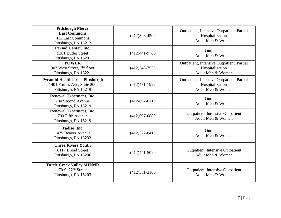| <b>Pittsburgh Mercy</b><br><b>East Commons</b><br>412 East Commons<br>Pittsburgh, PA 15212   | $(412)323 - 4500$ | Outpatient, Intensive Outpatient, Partial<br>Hospitalization<br>Adult Men & Women |
|----------------------------------------------------------------------------------------------|-------------------|-----------------------------------------------------------------------------------|
| Persad Center, Inc.<br>5301 Butler Street<br>Pittsburgh, PA 15201                            | $(412)441-9786$   | Outpatient<br>Adult Men & Women                                                   |
| <b>POWER</b><br>907 West Street, 2 <sup>nd</sup> floor<br>Pittsburgh, PA 15221               | $(412)243 - 7535$ | Outpatient, Intensive Outpatient, Partial<br>Hospitalization<br>Adult Men & Women |
| <b>Pyramid Healthcare - Pittsburgh</b><br>1401 Forbes Ave, Suite 200<br>Pittsburgh, PA 15219 | $(412)481-1922$   | Outpatient, Intensive Outpatient, Partial<br>Hospitalization<br>Adult Men & Women |
| <b>Renewal Treatment, Inc.</b><br>704 Second Avenue<br>Pittsburgh, PA 15219                  | $(412-697-0110)$  | Outpatient<br>Adult Men & Women                                                   |
| <b>Renewal Treatment, Inc.</b><br>700 Fifth Avenue<br>Pittsburgh, PA 15219                   | $(412)697 - 0880$ | <b>Outpatient, Intensive Outpatient</b><br>Adult Men & Women                      |
| Tadiso, Inc.<br>1425 Beaver Avenue<br>Pittsburgh, PA 15233                                   | $(412)322 - 8415$ | Outpatient<br>Adult Men & Women                                                   |
| <b>Three Rivers Youth</b><br>6117 Broad Street<br>Pittsburgh, PA 15206                       | $(412)441 - 5020$ | <b>Outpatient, Intensive Outpatient</b><br>Adult Men & Women                      |
| <b>Turtle Creek Valley MH/MR</b><br>70 S. $22nd$ Street<br>Pittsburgh, PA 15203              | $(412)381 - 2100$ | <b>Outpatient, Intensive Outpatient</b><br>Adult Men & Women                      |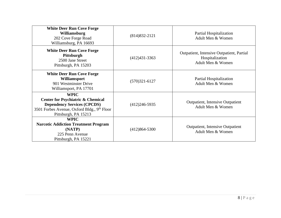| <b>White Deer Run Cove Forge</b><br>Williamsburg<br>202 Cove Forge Road<br>Williamsburg, PA 16693                                                                                    | $(814)832 - 2121$ | Partial Hospitalization<br>Adult Men & Women                                      |
|--------------------------------------------------------------------------------------------------------------------------------------------------------------------------------------|-------------------|-----------------------------------------------------------------------------------|
| <b>White Deer Run Cove Forge</b><br>Pittsburgh<br>2500 Jane Street<br>Pittsburgh, PA 15203                                                                                           | $(412)431-3363$   | Outpatient, Intensive Outpatient, Partial<br>Hospitalization<br>Adult Men & Women |
| <b>White Deer Run Cove Forge</b><br>Williamsport<br>901 Westminster Drive<br>Williamsport, PA 17701                                                                                  | $(570)321-6127$   | Partial Hospitalization<br>Adult Men & Women                                      |
| <b>WPIC</b><br><b>Center for Psychiatric &amp; Chemical</b><br><b>Dependency Services (CPCDS)</b><br>3501 Forbes Avenue, Oxford Bldg., 9 <sup>th</sup> Floor<br>Pittsburgh, PA 15213 | $(412)246 - 5935$ | <b>Outpatient, Intensive Outpatient</b><br>Adult Men & Women                      |
| <b>WPIC</b><br><b>Narcotic Addiction Treatment Program</b><br>(NATP)<br>225 Penn Avenue<br>Pittsburgh, PA 15221                                                                      | $(412)864 - 5300$ | <b>Outpatient, Intensive Outpatient</b><br>Adult Men & Women                      |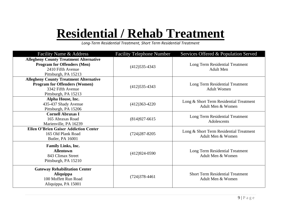## **Residential / Rehab Treatment**

*Long-Term Residential Treatment, Short Term Residential Treatment*

| Facility Name & Address                                                                                                            | <b>Facility Telephone Number</b> | Services Offered & Population Served                         |
|------------------------------------------------------------------------------------------------------------------------------------|----------------------------------|--------------------------------------------------------------|
| <b>Allegheny County Treatment Alternative</b><br><b>Program for Offenders (Men)</b><br>2410 Fifth Avenue<br>Pittsburgh, PA 15213   | $(412)$ 535-4343                 | Long Term Residential Treatment<br><b>Adult Men</b>          |
| <b>Allegheny County Treatment Alternative</b><br><b>Program for Offenders (Women)</b><br>3342 Fifth Avenue<br>Pittsburgh, PA 15213 | $(412)$ 535-4343                 | Long Term Residential Treatment<br><b>Adult Women</b>        |
| Alpha House, Inc.<br>435-437 Shady Avenue<br>Pittsburgh, PA 15206                                                                  | $(412)363-4220$                  | Long & Short Term Residential Treatment<br>Adult Men & Women |
| <b>Cornell Abraxas I</b><br>165 Abraxas Road<br>Marienville, PA 16239                                                              | $(814)927-6615$                  | Long Term Residential Treatment<br>Adolescents               |
| <b>Ellen O'Brien Gaiser Addiction Center</b><br>165 Old Plank Road<br>Butler, PA 16001                                             | $(724)287 - 8205$                | Long & Short Term Residential Treatment<br>Adult Men & Women |
| Family Links, Inc.<br><b>Allentown</b><br>843 Climax Street<br>Pittsburgh, PA 15210                                                | $(412)924-0590$                  | Long Term Residential Treatment<br>Adult Men & Women         |
| <b>Gateway Rehabilitation Center</b><br><b>Aliquippa</b><br>100 Moffett Run Road<br>Aliquippa, PA 15001                            | $(724)378-4461$                  | <b>Short Term Residential Treatment</b><br>Adult Men & Women |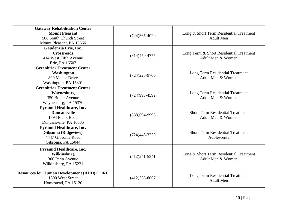| <b>Gateway Rehabilitation Center</b><br><b>Mount Pleasant</b><br>508 South Church Street<br>Mount Pleasant, PA 15666 | $(724)365 - 4020$ | Long & Short Term Residential Treatment<br><b>Adult Men</b>  |
|----------------------------------------------------------------------------------------------------------------------|-------------------|--------------------------------------------------------------|
| Gaudenzia Erie, Inc.<br><b>Crossroads</b><br>414 West Fifth Avenue<br>Erie, PA 16507                                 | $(814)459-4775$   | Long Term & Short Residential Treatment<br>Adult Men & Women |
| <b>Greenbriar Treatment Center</b><br>Washington<br>800 Manor Drive<br>Washington, PA 15301                          | $(724)225 - 9700$ | Long Term Residential Treatment<br>Adult Men & Women         |
| <b>Greenbriar Treatment Center</b><br>Waynesburg<br>350 Bonar Avenue<br>Waynesburg, PA 15370                         | $(724)993 - 4592$ | Long Term Residential Treatment<br>Adult Men & Women         |
| <b>Pyramid Healthcare, Inc.</b><br><b>Duncansville</b><br>1894 Plank Road<br>Duncansville, PA 16635                  | (888) 694-9996    | <b>Short Term Residential Treatment</b><br>Adult Men & Women |
| <b>Pyramid Healthcare, Inc.</b><br><b>Gibsonia</b> (Ridgeview)<br>4447 Gibsonia Road<br>Gibsonia, PA 15044           | $(724)443 - 3220$ | <b>Short Term Residential Treatment</b><br>Adolescents       |
| <b>Pyramid Healthcare, Inc.</b><br>Wilkinsburg<br>306 Penn Avenue<br>Wilkinsburg, PA 15221                           | $(412)241-5341$   | Long & Short Term Residential Treatment<br>Adult Men & Women |
| <b>Resources for Human Development (RHD) CORE</b><br>1800 West Street<br>Homestead, PA 15120                         | $(412)368 - 8067$ | Long Term Residential Treatment<br><b>Adult Men</b>          |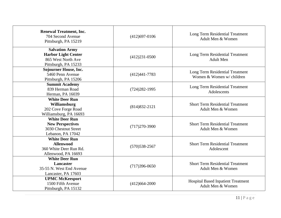| <b>Renewal Treatment, Inc.</b><br>704 Second Avenue<br>Pittsburgh, PA 15219                       | $(412)697 - 0106$ | Long Term Residential Treatment<br>Adult Men & Women           |
|---------------------------------------------------------------------------------------------------|-------------------|----------------------------------------------------------------|
| <b>Salvation Army</b><br><b>Harbor Light Center</b><br>865 West North Ave<br>Pittsburgh, PA 15233 | $(412)231-0500$   | Long Term Residential Treatment<br><b>Adult Men</b>            |
| <b>Sojourner House, Inc.</b><br>5460 Penn Avenue<br>Pittsburgh, PA 15206                          | $(412)441 - 7783$ | Long Term Residential Treatment<br>Women & Women w/ children   |
| <b>Summit Academy</b><br>839 Herman Road<br>Herman, PA 16039                                      | $(724)282 - 1995$ | Long Term Residential Treatment<br>Adolescents                 |
| <b>White Deer Run</b><br>Williamsburg<br>202 Cove Forge Road<br>Williamsburg, PA 16693            | $(814)832 - 2121$ | <b>Short Term Residential Treatment</b><br>Adult Men & Women   |
| <b>White Deer Run</b><br><b>New Perspectives</b><br>3030 Chestnut Street<br>Lebanon, PA 17042     | $(717)270-3900$   | <b>Short Term Residential Treatment</b><br>Adult Men & Women   |
| <b>White Deer Run</b><br><b>Allenwood</b><br>360 White Deer Run Rd.<br>Allenwood, PA 16693        | $(570)$ 538-2567  | <b>Short Term Residential Treatment</b><br>Adolescent          |
| <b>White Deer Run</b><br><b>Lancaster</b><br>35-55 N. West End Avenue<br>Lancaster, PA 17603      | $(717)396-0650$   | <b>Short Term Residential Treatment</b><br>Adult Men & Women   |
| <b>UPMC McKeesport</b><br>1500 Fifth Avenue<br>Pittsburgh, PA 15132                               | $(412)664 - 2000$ | <b>Hospital Based Inpatient Treatment</b><br>Adult Men & Women |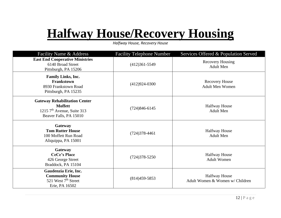## **Halfway House/Recovery Housing**

*Halfway House, Recovery House*

| Facility Name & Address                                                                                          | <b>Facility Telephone Number</b> | Services Offered & Population Served                    |
|------------------------------------------------------------------------------------------------------------------|----------------------------------|---------------------------------------------------------|
| <b>East End Cooperative Ministries</b><br>6140 Broad Street<br>Pittsburgh, PA 15206                              | $(412)361 - 5549$                | <b>Recovery Housing</b><br><b>Adult Men</b>             |
| <b>Family Links, Inc.</b><br>Frankstown<br>8930 Frankstown Road<br>Pittsburgh, PA 15235                          | $(412)924-0300$                  | <b>Recovery House</b><br><b>Adult Men Women</b>         |
| <b>Gateway Rehabilitation Center</b><br><b>Moffett</b><br>1215 $7th$ Avenue, Suite 313<br>Beaver Falls, PA 15010 | $(724)846-6145$                  | <b>Halfway House</b><br><b>Adult Men</b>                |
| Gateway<br><b>Tom Rutter House</b><br>100 Moffett Run Road<br>Aliquippa, PA 15001                                | $(724)378-4461$                  | <b>Halfway House</b><br><b>Adult Men</b>                |
| Gateway<br><b>CeCe's Place</b><br>426 George Street<br>Braddock, PA 15104                                        | $(724)378 - 5250$                | <b>Halfway House</b><br><b>Adult Women</b>              |
| Gaudenzia Erie, Inc.<br><b>Community House</b><br>521 West 7 <sup>th</sup> Street<br>Erie, PA 16502              | $(814)459-5853$                  | <b>Halfway House</b><br>Adult Women & Women w/ Children |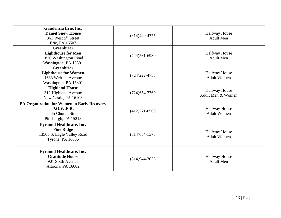| Gaudenzia Erie, Inc.<br><b>Daniel Snow House</b><br>361 West 5 <sup>th</sup> Street<br>Erie, PA 16507          | $(814)449 - 4775$ | <b>Halfway House</b><br><b>Adult Men</b>   |
|----------------------------------------------------------------------------------------------------------------|-------------------|--------------------------------------------|
| <b>Greenbriar</b><br><b>Lighthouse for Men</b><br>1820 Washington Road<br>Washington, PA 15301                 | $(724)531-6930$   | <b>Halfway House</b><br><b>Adult Men</b>   |
| Greenbriar<br><b>Lighthouse for Women</b><br>1633 Weirich Avenue<br>Washington, PA 15301                       | $(724)222 - 4753$ | <b>Halfway House</b><br><b>Adult Women</b> |
| <b>Highland House</b><br>312 Highland Avenue<br>New Castle, PA 16103                                           | $(724)$ 654-7760  | <b>Halfway House</b><br>Adult Men & Women  |
| PA Organization for Women in Early Recovery<br><b>P.O.W.E.R.</b><br>7445 Church Street<br>Pittsburgh, PA 15218 | $(412)271-0500$   | <b>Halfway House</b><br><b>Adult Women</b> |
| <b>Pyramid Healthcare, Inc.</b><br><b>Pine Ridge</b><br>13505 S. Eagle Valley Road<br><b>Tyrone, PA 16686</b>  | $(814)684-1373$   | <b>Halfway House</b><br><b>Adult Women</b> |
| <b>Pyramid Healthcare, Inc.</b><br><b>Gratitude House</b><br>901 Sixth Avenue<br>Altoona, PA 16602             | $(814)944 - 3035$ | <b>Halfway House</b><br><b>Adult Men</b>   |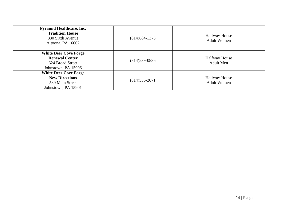| <b>Pyramid Healthcare, Inc.</b><br><b>Tradition House</b><br>830 Sixth Avenue<br>Altoona, PA 16602 | $(814)684-1373$ | <b>Halfway House</b><br><b>Adult Women</b> |
|----------------------------------------------------------------------------------------------------|-----------------|--------------------------------------------|
| <b>White Deer Cove Forge</b><br><b>Renewal Center</b><br>624 Broad Street<br>Johnstown, PA 15906   | $(814)539-0836$ | <b>Halfway House</b><br><b>Adult Men</b>   |
| <b>White Deer Cove Forge</b><br><b>New Directions</b><br>539 Main Street<br>Johnstown, PA 15901    | $(814)536-2071$ | <b>Halfway House</b><br><b>Adult Women</b> |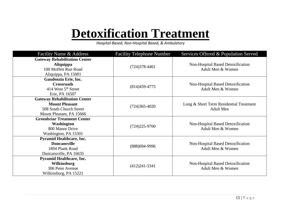## **Detoxification Treatment**

*Hospital-Based, Non-Hospital Based, & Ambulatory* 

| Facility Name & Address                                                                                              | <b>Facility Telephone Number</b> | Services Offered & Population Served                        |
|----------------------------------------------------------------------------------------------------------------------|----------------------------------|-------------------------------------------------------------|
| <b>Gateway Rehabilitation Center</b><br><b>Aliquippa</b><br>100 Moffett Run Road<br>Aliquippa, PA 15001              | $(724)378-4461$                  | Non-Hospital Based Detoxification<br>Adult Men & Women      |
| Gaudenzia Erie, Inc.<br><b>Crossroads</b><br>414 West 5 <sup>th</sup> Street<br>Erie, PA 16507                       | $(814)459-4775$                  | Non-Hospital Based Detoxification<br>Adult Men & Women      |
| <b>Gateway Rehabilitation Center</b><br><b>Mount Pleasant</b><br>508 South Church Street<br>Mount Pleasant, PA 15666 | $(724)365 - 4020$                | Long & Short Term Residential Treatment<br><b>Adult Men</b> |
| <b>Greenbriar Treatment Center</b><br>Washington<br>800 Manor Drive<br>Washington, PA 15301                          | $(724)225-9700$                  | Non-Hospital Based Detoxification<br>Adult Men & Women      |
| <b>Pyramid Healthcare, Inc.</b><br><b>Duncansville</b><br>1894 Plank Road<br>Duncansville, PA 16635                  | $(888)$ 694-9996                 | Non-Hospital Based Detoxification<br>Adult Men & Women      |
| <b>Pyramid Healthcare, Inc.</b><br><b>Wilkinsburg</b><br>306 Penn Avenue<br>Wilkinsburg, PA 15221                    | $(412)241-5341$                  | Non-Hospital Based Detoxification<br>Adult Men & Women      |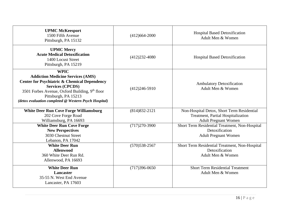| <b>UPMC McKeesport</b><br>1500 Fifth Avenue<br>Pittsburgh, PA 15132                                                                                                                                                                                                                          | $(412)664 - 2000$ | <b>Hospital Based Detoxification</b><br>Adult Men & Women                                                       |
|----------------------------------------------------------------------------------------------------------------------------------------------------------------------------------------------------------------------------------------------------------------------------------------------|-------------------|-----------------------------------------------------------------------------------------------------------------|
| <b>UPMC Mercy</b><br><b>Acute Medical Detoxification</b><br>1400 Locust Street<br>Pittsburgh, PA 15219                                                                                                                                                                                       | $(412)232 - 4080$ | <b>Hospital Based Detoxification</b>                                                                            |
| <b>WPIC</b><br><b>Addiction Medicine Services (AMS)</b><br><b>Center for Psychiatric &amp; Chemical Dependency</b><br><b>Services (CPCDS)</b><br>3501 Forbes Avenue, Oxford Building, 9 <sup>th</sup> floor<br>Pittsburgh, PA 15213<br>(detox evaluation completed @ Western Psych Hospital) | $(412)246-5910$   | <b>Ambulatory Detoxification</b><br>Adult Men & Women                                                           |
| <b>White Deer Run Cove Forge Williamsburg</b><br>202 Cove Forge Road<br>Williamsburg, PA 16693                                                                                                                                                                                               | $(814)832 - 2121$ | Non-Hospital Detox, Short Term Residential<br>Treatment, Partial Hospitalization<br><b>Adult Pregnant Women</b> |
| <b>White Deer Run Cove Forge</b><br><b>New Perspectives</b><br>3030 Chestnut Street<br>Lebanon, PA 17042                                                                                                                                                                                     | $(717)270-3900$   | Short Term Residential Treatment, Non-Hospital<br>Detoxification<br><b>Adult Pregnant Women</b>                 |
| <b>White Deer Run</b><br><b>Allenwood</b><br>360 White Deer Run Rd.<br>Allenwood, PA 16693                                                                                                                                                                                                   | $(570)$ 538-2567  | Short Term Residential Treatment, Non-Hospital<br>Detoxification<br>Adult Men & Women                           |
| <b>White Deer Run</b><br>Lancaster<br>35-55 N. West End Avenue<br>Lancaster, PA 17603                                                                                                                                                                                                        | $(717)396-0650$   | <b>Short Term Residential Treatment</b><br>Adult Men & Women                                                    |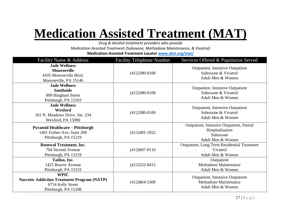## **Medication Assisted Treatment (MAT)**

*Drug & Alcohol treatment providers who provide* 

*Medication Assisted Treatment (Suboxone, Methadone Maintenance, & Vivatrol)*

**Medication-Assisted Treatment Locator [www.ahci.org/mat/](http://www.ahci.org/mat/)**

| Facility Name & Address                                                                                        | <b>Facility Telephone Number</b> | Services Offered & Population Served                                                          |
|----------------------------------------------------------------------------------------------------------------|----------------------------------|-----------------------------------------------------------------------------------------------|
| <b>Jade Wellness</b><br><b>Monroeville</b><br>4105 Monroeville Blvd.<br>Monroeville, PA 15146                  | $(412)380-0100$                  | <b>Outpatient, Intensive Outpatient</b><br>Suboxone & Vivatrol<br>Adult Men & Women           |
| <b>Jade Wellness</b><br><b>Southside</b><br>809 Bingham Street<br>Pittsburgh, PA 15203                         | $(412)380-0100$                  | Outpatient, Intensive Outpatient<br>Suboxone & Vivatrol<br>Adult Men & Women                  |
| <b>Jade Wellness</b><br>Wexford<br>101 N. Meadows Drive, Ste. 234<br>Wexford, PA 15090                         | $(412)380-0100$                  | <b>Outpatient, Intensive Outpatient</b><br>Suboxone & Vivatrol<br>Adult Men & Women           |
| <b>Pyramid Healthcare – Pittsburgh</b><br>1401 Forbes Ave, Suite 200<br>Pittsburgh, PA 15219                   | $(412)481-1922$                  | Outpatient, Intensive Outpatient, Partial<br>Hospitalization<br>Suboxone<br>Adult Men & Women |
| <b>Renewal Treatment, Inc.</b><br>704 Second Avenue<br>Pittsburgh, PA 15219                                    | $(412)697 - 0110$                | <b>Outpatient, Long Term Residential Treatment</b><br>Vivatrol<br>Adult Men & Women           |
| Tadiso, Inc.<br>1425 Beaver Avenue<br>Pittsburgh, PA 15233                                                     | $(412)322 - 8415$                | Outpatient<br><b>Methadone Maintenance</b><br>Adult Men & Women                               |
| <b>WPIC</b><br><b>Narcotic Addiction Treatment Program (NATP)</b><br>6714 Kelly Street<br>Pittsburgh, PA 15208 | $(412)864 - 5300$                | Outpatient, Intensive Outpatient<br><b>Methadone Maintenance</b><br>Adult Men & Women         |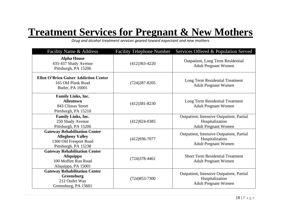### **Treatment Services for Pregnant & New Mothers**

*Drug and alcohol treatment services geared toward expectant and new mothers*

| Facility Name & Address                                                                                           | <b>Facility Telephone Number</b> | Services Offered & Population Served                                                        |
|-------------------------------------------------------------------------------------------------------------------|----------------------------------|---------------------------------------------------------------------------------------------|
| <b>Alpha House</b><br>435-437 Shady Avenue<br>Pittsburgh, PA 15206                                                | $(412)363-4220$                  | <b>Outpatient, Long Term Residential</b><br><b>Adult Pregnant Women</b>                     |
| <b>Ellen O'Brien Gaiser Addiction Center</b><br>165 Old Plank Road<br>Butler, PA 16001                            | $(724)287 - 8205$                | Long Term Residential Treatment<br><b>Adult Pregnant Women</b>                              |
| <b>Family Links, Inc.</b><br><b>Allentown</b><br>843 Climax Street<br>Pittsburgh, PA 15210                        | $(412)381 - 8230$                | Long Term Residential Treatment<br><b>Adult Pregnant Women</b>                              |
| <b>Family Links, Inc.</b><br>250 Shady Avenue<br>Pittsburgh, PA 15206                                             | $(412)924-0385$                  | Outpatient, Intensive Outpatient, Partial<br>Hospitalization<br><b>Adult Pregnant Women</b> |
| <b>Gateway Rehabilitation Center</b><br><b>Allegheny Valley</b><br>1360 Old Freeport Road<br>Pittsburgh, PA 15238 | $(412)936 - 7077$                | Outpatient, Intensive Outpatient, Partial<br>Hospitalization<br><b>Adult Pregnant Women</b> |
| <b>Gateway Rehabilitation Center</b><br><b>Aliquippa</b><br>100 Moffett Run Road<br>Aliquippa, PA 15001           | $(724)378-4461$                  | <b>Short Term Residential Treatment</b><br><b>Adult Pregnant Women</b>                      |
| <b>Gateway Rehabilitation Center</b><br>Greensburg<br>212 Outlet Way<br>Greensburg, PA 15601                      | $(724)853 - 7300$                | Outpatient, Intensive Outpatient, Partial<br>Hospitalization<br><b>Adult Pregnant Women</b> |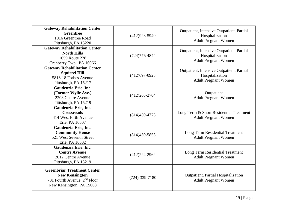| <b>Gateway Rehabilitation Center</b><br><b>Greentree</b><br>1016 Greentree Road<br>Pittsburgh, PA 15220                             | $(412)928-5940$      | Outpatient, Intensive Outpatient, Partial<br>Hospitalization<br><b>Adult Pregnant Women</b> |
|-------------------------------------------------------------------------------------------------------------------------------------|----------------------|---------------------------------------------------------------------------------------------|
| <b>Gateway Rehabilitation Center</b><br><b>North Hills</b><br>1659 Route 228<br>Cranberry Twp., PA 16066                            | $(724)776 - 4844$    | Outpatient, Intensive Outpatient, Partial<br>Hospitalization<br><b>Adult Pregnant Women</b> |
| <b>Gateway Rehabilitation Center</b><br><b>Squirrel Hill</b><br>5816-18 Forbes Avenue<br>Pittsburgh, PA 15217                       | $(412)697 - 0928$    | Outpatient, Intensive Outpatient, Partial<br>Hospitalization<br><b>Adult Pregnant Women</b> |
| Gaudenzia Erie, Inc.<br>(Former Wylie Ave.)<br>2203 Centre Avenue<br>Pittsburgh, PA 15219                                           | $(412)263 - 2764$    | Outpatient<br><b>Adult Pregnant Women</b>                                                   |
| Gaudenzia Erie, Inc.<br><b>Crossroads</b><br>414 West Fifth Avenue<br>Erie, PA 16507                                                | $(814)459-4775$      | Long Term & Short Residential Treatment<br><b>Adult Pregnant Women</b>                      |
| Gaudenzia Erie, Inc.<br><b>Community House</b><br>521 West Seventh Street<br>Erie, PA 16502                                         | $(814)459-5853$      | Long Term Residential Treatment<br><b>Adult Pregnant Women</b>                              |
| Gaudenzia Erie, Inc.<br><b>Centre Avenue</b><br>2012 Centre Avenue<br>Pittsburgh, PA 15219                                          | $(412)224-2962$      | Long Term Residential Treatment<br><b>Adult Pregnant Women</b>                              |
| <b>Greenbriar Treatment Center</b><br><b>New Kensington</b><br>701 Fourth Avenue, 2 <sup>nd</sup> Floor<br>New Kensington, PA 15068 | $(724) - 339 - 7180$ | Outpatient, Partial Hospitalization<br><b>Adult Pregnant Women</b>                          |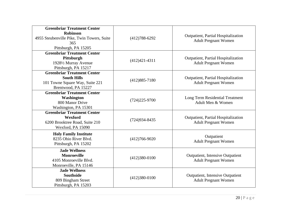| <b>Greenbriar Treatment Center</b><br><b>Robinson</b><br>4955 Steubenville Pike, Twin Towers, Suite<br>365<br>Pittsburgh, PA 15205 | $(412)788 - 6292$ | Outpatient, Partial Hospitalization<br><b>Adult Pregnant Women</b>     |
|------------------------------------------------------------------------------------------------------------------------------------|-------------------|------------------------------------------------------------------------|
| <b>Greenbriar Treatment Center</b><br>Pittsburgh<br>19281/2 Murray Avenue<br>Pittsburgh, PA 15217                                  | $(412)421-4311$   | Outpatient, Partial Hospitalization<br><b>Adult Pregnant Women</b>     |
| <b>Greenbriar Treatment Center</b><br><b>South Hills</b><br>101 Towne Square Way, Suite 221<br>Brentwood, PA 15227                 | $(412)885 - 7180$ | Outpatient, Partial Hospitalization<br><b>Adult Pregnant Women</b>     |
| <b>Greenbriar Treatment Center</b><br>Washington<br>800 Manor Drive<br>Washington, PA 15301                                        | $(724)225 - 9700$ | Long Term Residential Treatment<br>Adult Men & Women                   |
| <b>Greenbriar Treatment Center</b><br>Wexford<br>6200 Brooktree Road, Suite 210<br>Wexford, PA 15090                               | $(724)934 - 8435$ | Outpatient, Partial Hospitalization<br><b>Adult Pregnant Women</b>     |
| <b>Holy Family Institute</b><br>8235 Ohio River Blvd.<br>Pittsburgh, PA 15202                                                      | $(412)766 - 9020$ | Outpatient<br><b>Adult Pregnant Women</b>                              |
| <b>Jade Wellness</b><br><b>Monroeville</b><br>4105 Monroeville Blvd.<br>Monroeville, PA 15146                                      | $(412)380-0100$   | <b>Outpatient, Intensive Outpatient</b><br><b>Adult Pregnant Women</b> |
| <b>Jade Wellness</b><br><b>Southside</b><br>809 Bingham Street<br>Pittsburgh, PA 15203                                             | $(412)380-0100$   | Outpatient, Intensive Outpatient<br><b>Adult Pregnant Women</b>        |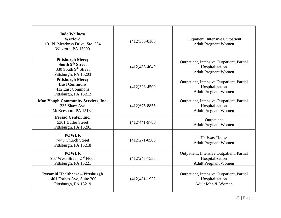| <b>Jade Wellness</b><br>Wexford<br>101 N. Meadows Drive, Ste. 234<br>Wexford, PA 15090       | $(412)380-0100$   | <b>Outpatient, Intensive Outpatient</b><br><b>Adult Pregnant Women</b>                      |
|----------------------------------------------------------------------------------------------|-------------------|---------------------------------------------------------------------------------------------|
| <b>Pittsburgh Mercy</b><br>South 9th Street<br>330 South 9th Street<br>Pittsburgh, PA 15203  | $(412)488-4040$   | Outpatient, Intensive Outpatient, Partial<br>Hospitalization<br><b>Adult Pregnant Women</b> |
| <b>Pittsburgh Mercy</b><br><b>East Commons</b><br>412 East Commons<br>Pittsburgh, PA 15212   | $(412)323 - 4500$ | Outpatient, Intensive Outpatient, Partial<br>Hospitalization<br><b>Adult Pregnant Women</b> |
| <b>Mon Yough Community Services, Inc.</b><br>335 Shaw Ave<br>McKeesport, PA 15132            | $(412)675 - 8855$ | Outpatient, Intensive Outpatient, Partial<br>Hospitalization<br><b>Adult Pregnant Women</b> |
| Persad Center, Inc.<br>5301 Butler Street<br>Pittsburgh, PA 15201                            | $(412)441-9786$   | Outpatient<br><b>Adult Pregnant Women</b>                                                   |
| <b>POWER</b><br>7445 Church Street<br>Pittsburgh, PA 15218                                   | $(412)271 - 0500$ | <b>Halfway House</b><br><b>Adult Pregnant Women</b>                                         |
| <b>POWER</b><br>907 West Street, 2 <sup>nd</sup> Floor<br>Pittsburgh, PA 15221               | $(412)243 - 7535$ | Outpatient, Intensive Outpatient, Partial<br>Hospitalization<br><b>Adult Pregnant Women</b> |
| <b>Pyramid Healthcare - Pittsburgh</b><br>1401 Forbes Ave, Suite 200<br>Pittsburgh, PA 15219 | $(412)481-1922$   | Outpatient, Intensive Outpatient, Partial<br>Hospitalization<br>Adult Men & Women           |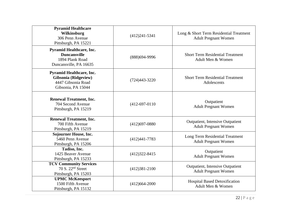| <b>Pyramid Healthcare</b><br>Wilkinsburg<br>306 Penn Avenue<br>Pittsburgh, PA 15221                        | $(412)241-5341$   | Long & Short Term Residential Treatment<br><b>Adult Pregnant Women</b> |
|------------------------------------------------------------------------------------------------------------|-------------------|------------------------------------------------------------------------|
| <b>Pyramid Healthcare, Inc.</b><br><b>Duncansville</b><br>1894 Plank Road<br>Duncansville, PA 16635        | (888) 694-9996    | <b>Short Term Residential Treatment</b><br>Adult Men & Women           |
| <b>Pyramid Healthcare, Inc.</b><br><b>Gibsonia</b> (Ridgeview)<br>4447 Gibsonia Road<br>Gibsonia, PA 15044 | $(724)443 - 3220$ | <b>Short Term Residential Treatment</b><br>Adolescents                 |
| <b>Renewal Treatment, Inc.</b><br>704 Second Avenue<br>Pittsburgh, PA 15219                                | $(412-697-0110)$  | Outpatient<br><b>Adult Pregnant Women</b>                              |
| <b>Renewal Treatment, Inc.</b><br>700 Fifth Avenue<br>Pittsburgh, PA 15219                                 | $(412)697 - 0880$ | <b>Outpatient, Intensive Outpatient</b><br><b>Adult Pregnant Women</b> |
| <b>Sojourner House, Inc.</b><br>5460 Penn Avenue<br>Pittsburgh, PA 15206                                   | $(412)441 - 7783$ | Long Term Residential Treatment<br><b>Adult Pregnant Women</b>         |
| Tadiso, Inc.<br>1425 Beaver Avenue<br>Pittsburgh, PA 15233                                                 | $(412)322 - 8415$ | Outpatient<br><b>Adult Pregnant Women</b>                              |
| <b>TCV Community Services</b><br>70 S. 22 <sup>nd</sup> Street<br>Pittsburgh, PA 15203                     | $(412)381 - 2100$ | <b>Outpatient, Intensive Outpatient</b><br><b>Adult Pregnant Women</b> |
| <b>UPMC McKeesport</b><br>1500 Fifth Avenue<br>Pittsburgh, PA 15132                                        | $(412)664 - 2000$ | <b>Hospital Based Detoxification</b><br>Adult Men & Women              |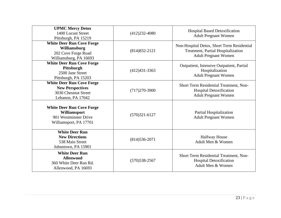| <b>UPMC Mercy Detox</b><br>1400 Locust Street<br>Pittsburgh, PA 15219                                    | $(412)232 - 4080$ | <b>Hospital Based Detoxification</b><br><b>Adult Pregnant Women</b>                                             |
|----------------------------------------------------------------------------------------------------------|-------------------|-----------------------------------------------------------------------------------------------------------------|
| <b>White Deer Run Cove Forge</b><br>Williamsburg<br>202 Cove Forge Road<br>Williamsburg, PA 16693        | $(814)832 - 2121$ | Non-Hospital Detox, Short Term Residential<br>Treatment, Partial Hospitalization<br><b>Adult Pregnant Women</b> |
| <b>White Deer Run Cove Forge</b><br>Pittsburgh<br>2500 Jane Street<br>Pittsburgh, PA 15203               | $(412)431-3363$   | Outpatient, Intensive Outpatient, Partial<br>Hospitalization<br><b>Adult Pregnant Women</b>                     |
| <b>White Deer Run Cove Forge</b><br><b>New Perspectives</b><br>3030 Chestnut Street<br>Lebanon, PA 17042 | $(717)270-3900$   | Short Term Residential Treatment, Non-<br><b>Hospital Detoxification</b><br><b>Adult Pregnant Women</b>         |
| <b>White Deer Run Cove Forge</b><br>Williamsport<br>901 Westminster Drive<br>Williamsport, PA 17701      | $(570)321 - 6127$ | Partial Hospitalization<br><b>Adult Pregnant Women</b>                                                          |
| <b>White Deer Run</b><br><b>New Directions</b><br>538 Main Street<br>Johnstown, PA 15901                 | $(814)536-2071$   | <b>Halfway House</b><br>Adult Men & Women                                                                       |
| <b>White Deer Run</b><br><b>Allenwood</b><br>360 White Deer Run Rd.<br>Allenwood, PA 16693               | $(570)$ 538-2567  | Short Term Residential Treatment, Non-<br><b>Hospital Detoxification</b><br>Adult Men & Women                   |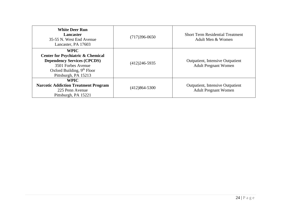| <b>White Deer Run</b><br>Lancaster<br>35-55 N. West End Avenue<br>Lancaster, PA 17603                                                                                           | $(717)396-0650$   | <b>Short Term Residential Treatment</b><br>Adult Men & Women           |
|---------------------------------------------------------------------------------------------------------------------------------------------------------------------------------|-------------------|------------------------------------------------------------------------|
| <b>WPIC</b><br><b>Center for Psychiatric &amp; Chemical</b><br><b>Dependency Services (CPCDS)</b><br>3501 Forbes Avenue<br>Oxford Building, $9th$ Floor<br>Pittsburgh, PA 15213 | $(412)246 - 5935$ | <b>Outpatient, Intensive Outpatient</b><br><b>Adult Pregnant Women</b> |
| <b>WPIC</b><br><b>Narcotic Addiction Treatment Program</b><br>225 Penn Avenue<br>Pittsburgh, PA 15221                                                                           | $(412)864 - 5300$ | <b>Outpatient, Intensive Outpatient</b><br><b>Adult Pregnant Women</b> |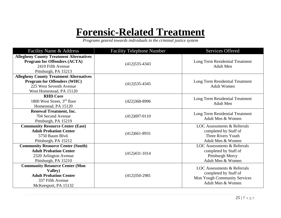### **Forensic-Related Treatment**

*Programs geared towards individuals in the criminal justice system*

| Facility Name & Address                                                                                                                     | <b>Facility Telephone Number</b> | <b>Services Offered</b>                                                                                          |
|---------------------------------------------------------------------------------------------------------------------------------------------|----------------------------------|------------------------------------------------------------------------------------------------------------------|
| <b>Allegheny County Treatment Alternatives</b><br><b>Program for Offenders (ACTA)</b><br>2410 Fifth Avenue<br>Pittsburgh, PA 15213          | $(412)$ 535-4343                 | Long Term Residential Treatment<br><b>Adult Men</b>                                                              |
| <b>Allegheny County Treatment Alternatives</b><br><b>Program for Offenders (WHC)</b><br>225 West Seventh Avenue<br>West Homestead, PA 15120 | $(412)535-4345$                  | Long Term Residential Treatment<br><b>Adult Women</b>                                                            |
| <b>RHD Core</b><br>1800 West Street, 3 <sup>rd</sup> floor<br>Homestead, PA 15120                                                           | $(422)368 - 8996$                | Long Term Residential Treatment<br><b>Adult Men</b>                                                              |
| <b>Renewal Treatment, Inc.</b><br>704 Second Avenue<br>Pittsburgh, PA 15219                                                                 | $(412)697 - 0110$                | Long Term Residential Treatment<br>Adult Men & Women                                                             |
| <b>Community Resource Center (East)</b><br><b>Adult Probation Center</b><br>5750 Baum Blyd.<br>Pittsburgh, PA 15212                         | $(412)661-8931$                  | <b>LOC</b> Assessments & Referrals<br>completed by Staff of<br>Three Rivers Youth<br>Adult Men & Women           |
| <b>Community Resource Center (South)</b><br><b>Adult Probation Center</b><br>2320 Arlington Avenue<br>Pittsburgh, PA 15210                  | $(412)431-1014$                  | <b>LOC</b> Assessments & Referrals<br>completed by Staff of<br>Pittsburgh Mercy<br>Adult Men & Women             |
| <b>Community Resource Center (Mon</b><br>Valley)<br><b>Adult Probation Center</b><br>337 Fifth Avenue<br>McKeesport, PA 15132               | $(412)350-2981$                  | <b>LOC</b> Assessments & Referrals<br>completed by Staff of<br>Mon Yough Community Services<br>Adult Men & Women |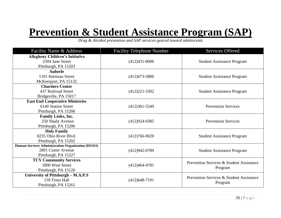### **Prevention & Student Assistance Program (SAP)**

*Drug & Alcohol prevention and SAP services geared toward adolescents*

| Facility Name & Address                           | <b>Facility Telephone Number</b> | <b>Services Offered</b>                  |
|---------------------------------------------------|----------------------------------|------------------------------------------|
| <b>Allegheny Children's Initiative</b>            |                                  |                                          |
| 2304 Jane Street                                  | $(412)431 - 8006$                | <b>Student Assistance Program</b>        |
| Pittsburgh, PA 15203                              |                                  |                                          |
| <b>Auberle</b>                                    |                                  |                                          |
| 1101 Hartman Street                               | $(412)673 - 5800$                | <b>Student Assistance Program</b>        |
| McKeesport, PA 15132                              |                                  |                                          |
| <b>Chartiers Center</b>                           |                                  |                                          |
| 437 Railroad Street                               | $(412)221-3302$                  | <b>Student Assistance Program</b>        |
| Bridgeville, PA 15017                             |                                  |                                          |
| <b>East End Cooperative Ministries</b>            |                                  |                                          |
| 6140 Station Street                               | $(412)361 - 5549$                | <b>Prevention Services</b>               |
| Pittsburgh, PA 15206                              |                                  |                                          |
| Family Links, Inc.                                |                                  |                                          |
| 250 Shady Avenue                                  | $(412)924-0385$                  | <b>Prevention Services</b>               |
| Pittsburgh, PA 15206                              |                                  |                                          |
| <b>Holy Family</b>                                |                                  |                                          |
| 8235 Ohio River Blvd.                             | $(412)766-9020$                  | <b>Student Assistance Program</b>        |
| Pittsburgh, PA 15202                              |                                  |                                          |
| Human Services Administration Organization (HSAO) |                                  |                                          |
| 2801 Custer Avenue                                | $(412)942-0789$                  | <b>Student Assistance Program</b>        |
| Pittsburgh, PA 15227                              |                                  |                                          |
| <b>TCV Community Services</b>                     |                                  | Prevention Services & Student Assistance |
| 1800 West Street                                  | $(412)464 - 4781$                | Program                                  |
| Pittsburgh, PA 15120                              |                                  |                                          |
| University of Pittsburgh - M.A.P.S                |                                  | Prevention Services & Student Assistance |
| 159 Trees Hall                                    | $(412)648-7191$                  | Program                                  |
| Pittsburgh, PA 15261                              |                                  |                                          |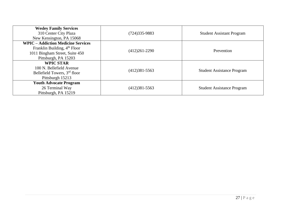| <b>Wesley Family Services</b><br>310 Center City Plaza<br>New Kensington, PA 15068                                                              | (724)335-9883     | <b>Student Assistant Program</b>  |
|-------------------------------------------------------------------------------------------------------------------------------------------------|-------------------|-----------------------------------|
| <b>WPIC – Addiction Medicine Services</b><br>Franklin Building, 4 <sup>th</sup> Floor<br>1011 Bingham Street, Suite 450<br>Pittsburgh, PA 15203 | $(412)261-2290$   | Prevention                        |
| <b>WPIC STAR</b><br>100 N. Bellefield Avenue<br>Bellefield Towers, 3 <sup>rd</sup> floor<br>Pittsburgh 15213                                    | $(412)381 - 5563$ | <b>Student Assistance Program</b> |
| <b>Youth Advocate Program</b><br>26 Terminal Way<br>Pittsburgh, PA 15219                                                                        | $(412)381 - 5563$ | <b>Student Assistance Program</b> |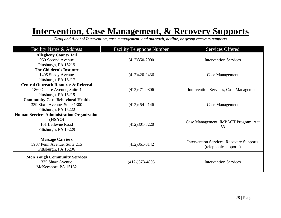#### **Intervention, Case Management, & Recovery Supports**

*Drug and Alcohol Intervention, case management, and outreach, hotline, or group recovery supports*

| Facility Name & Address                                                                                  | <b>Facility Telephone Number</b> | <b>Services Offered</b>                                                  |
|----------------------------------------------------------------------------------------------------------|----------------------------------|--------------------------------------------------------------------------|
| <b>Allegheny County Jail</b><br>950 Second Avenue<br>Pittsburgh, PA 15219                                | $(412)350-2000$                  | <b>Intervention Services</b>                                             |
| The Children's Institute<br>1405 Shady Avenue<br>Pittsburgh, PA 15217                                    | $(412)420-2436$                  | <b>Case Management</b>                                                   |
| <b>Central Outreach Resource &amp; Referral</b><br>1860 Centre Avenue, Suite 4<br>Pittsburgh, PA 15219   | $(412)471-9806$                  | <b>Intervention Services, Case Management</b>                            |
| <b>Community Care Behavioral Health</b><br>339 Sixth Avenue, Suite 1300<br>Pittsburgh, PA 15222          | $(412)454 - 2146$                | <b>Case Management</b>                                                   |
| <b>Human Services Administration Organization</b><br>(HSAO)<br>101 Bellevue Road<br>Pittsburgh, PA 15229 | $(412)301 - 8220$                | Case Management, IMPACT Program, Act<br>53                               |
| <b>Message Carriers</b><br>5907 Penn Avenue, Suite 215<br>Pittsburgh, PA 15206                           | $(412)361-0142$                  | <b>Intervention Services, Recovery Supports</b><br>(telephonic supports) |
| <b>Mon Yough Community Services</b><br>335 Shaw Avenue<br>McKeesport, PA 15132                           | $(412-)678-4805$                 | <b>Intervention Services</b>                                             |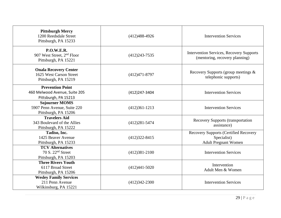| <b>Pittsburgh Mercy</b><br>1200 Reedsdale Street<br>Pittsburgh, PA 15233            | $(412)488-4926$   | <b>Intervention Services</b>                                                      |
|-------------------------------------------------------------------------------------|-------------------|-----------------------------------------------------------------------------------|
| <b>P.O.W.E.R.</b><br>907 West Street, 2 <sup>nd</sup> Floor<br>Pittsburgh, PA 15221 | $(412)243 - 7535$ | <b>Intervention Services, Recovery Supports</b><br>(mentoring, recovery planning) |
| <b>Onala Recovery Center</b><br>1625 West Carson Street<br>Pittsburgh, PA 15219     | $(412)471 - 8797$ | Recovery Supports (group meetings &<br>telephonic supports)                       |
| <b>Prevention Point</b>                                                             |                   |                                                                                   |
| 460 Melwood Avenue, Suite 205                                                       | (412) 247-3404    | <b>Intervention Services</b>                                                      |
| Pittsburgh, PA 15213                                                                |                   |                                                                                   |
| <b>Sojourner MOMS</b>                                                               |                   |                                                                                   |
| 5907 Penn Avenue, Suite 220                                                         | $(412)361-1213$   | <b>Intervention Services</b>                                                      |
| Pittsburgh, PA 15206                                                                |                   |                                                                                   |
| <b>Travelers Aid</b>                                                                |                   | <b>Recovery Supports (transportation</b>                                          |
| 343 Boulevard of the Allies                                                         | $(412)281 - 5474$ | assistance)                                                                       |
| Pittsburgh, PA 15222                                                                |                   |                                                                                   |
| Tadiso, Inc.<br>1425 Beaver Avenue                                                  |                   | <b>Recovery Supports (Certified Recovery</b>                                      |
|                                                                                     | $(412)322 - 8415$ | Specialist)                                                                       |
| Pittsburgh, PA 15233<br><b>TCV</b> Alternatives                                     |                   | <b>Adult Pregnant Women</b>                                                       |
| 70 S. $22nd$ Street                                                                 | $(412)381 - 2100$ | <b>Intervention Services</b>                                                      |
| Pittsburgh, PA 15203                                                                |                   |                                                                                   |
| <b>Three Rivers Youth</b>                                                           |                   |                                                                                   |
| 6117 Broad Street                                                                   | $(412)441 - 5020$ | Intervention                                                                      |
| Pittsburgh, PA 15206                                                                |                   | Adult Men & Women                                                                 |
| <b>Wesley Family Services</b>                                                       |                   |                                                                                   |
| 211 Penn Avenue                                                                     | $(412)342 - 2300$ | <b>Intervention Services</b>                                                      |
| Wilkinsburg, PA 15221                                                               |                   |                                                                                   |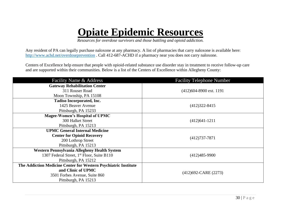### **Opiate Epidemic Resources**

*Resources for overdose survivors and those battling and opioid addiction.* 

Any resident of PA can legally purchase naloxone at any pharmacy. A list of pharmacies that carry naloxone is available here: <http://www.achd.net/overdoseprevention> . Call 412-687-ACHD if a pharmacy near you does not carry naloxone.

Centers of Excellence help ensure that people with opioid-related substance use disorder stay in treatment to receive follow-up care and are supported within their communities. Below is a list of the Centers of Excellence within Allegheny County:

| Facility Name & Address                                         | <b>Facility Telephone Number</b> |  |
|-----------------------------------------------------------------|----------------------------------|--|
| <b>Gateway Rehabilitation Center</b>                            |                                  |  |
| 311 Rouser Road                                                 | $(412)604 - 8900$ ext. 1191      |  |
| Moon Township, PA 15108                                         |                                  |  |
| <b>Tadiso Incorporated, Inc.</b>                                |                                  |  |
| 1425 Beaver Avenue                                              | $(412)322 - 8415$                |  |
| Pittsburgh, PA 15233                                            |                                  |  |
| <b>Magee-Women's Hospital of UPMC</b>                           | $(412)641-1211$                  |  |
| <b>300 Halket Street</b>                                        |                                  |  |
| Pittsburgh, PA 15213                                            |                                  |  |
| <b>UPMC General Internal Medicine</b>                           |                                  |  |
| <b>Center for Opioid Recovery</b>                               | $(412)737 - 7871$                |  |
| 200 Lothrop Street                                              |                                  |  |
| Pittsburgh, PA 15213                                            |                                  |  |
| Western Pennsylvania Allegheny Health System                    |                                  |  |
| 1307 Federal Street, 1 <sup>st</sup> Floor, Suite B110          | $(412)485-9900$                  |  |
| Pittsburgh, PA 15212                                            |                                  |  |
| The Addiction Medicine Center for Western Psychiatric Institute |                                  |  |
| and Clinic of UPMC                                              |                                  |  |
| 3501 Forbes Avenue, Suite 860                                   | $(412)692-CARE (2273)$           |  |
| Pittsburgh, PA 15213                                            |                                  |  |